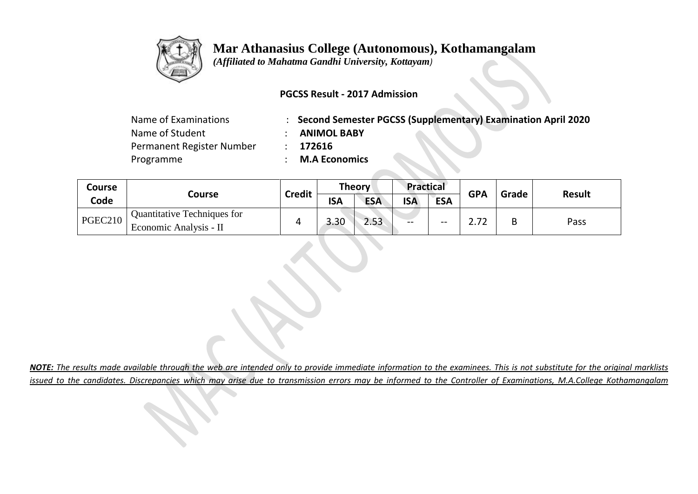

## **Mar Athanasius College (Autonomous), Kothamangalam**

 *(Affiliated to Mahatma Gandhi University, Kottayam)*

## **PGCSS Result - 2017 Admission**

| Name of Examinations      | : Second Semester PGCSS (Supplementary) Examination April 2020 |
|---------------------------|----------------------------------------------------------------|
| Name of Student           | <b>ANIMOL BABY</b>                                             |
| Permanent Register Number | 172616                                                         |
| Programme                 | <b>M.A Economics</b>                                           |
|                           |                                                                |

| <b>Course</b> |                                                       |               |            | <b>Theory</b> | <b>Practical</b> |            | <b>GPA</b> | Grade | <b>Result</b> |
|---------------|-------------------------------------------------------|---------------|------------|---------------|------------------|------------|------------|-------|---------------|
| Code          | Course                                                | <b>Credit</b> | <b>ISA</b> | <b>ESA</b>    | <b>ISA</b>       | <b>ESA</b> |            |       |               |
| PGEC210       | Quantitative Techniques for<br>Economic Analysis - II |               | 3.30       | 2.53          | --               | $- -$      | רד         | В     | Pass          |

*NOTE: The results made available through the web are intended only to provide immediate information to the examinees. This is not substitute for the original marklists issued to the candidates. Discrepancies which may arise due to transmission errors may be informed to the Controller of Examinations, M.A.College Kothamangalam*